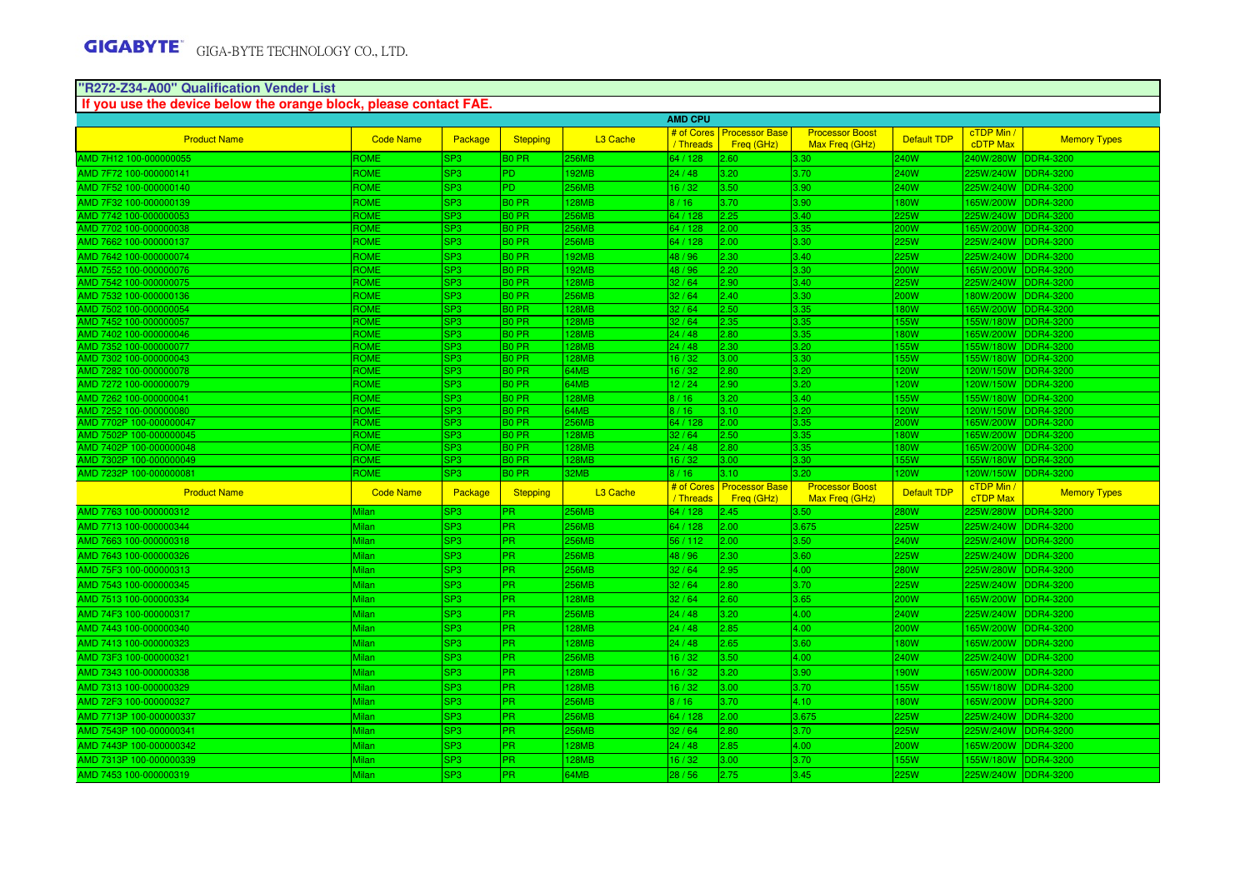# **"R272-Z34-A00" Qualification Vender List If you use the device below the orange block, please contact FAE.**

|                                                   |                       |                        |                   |                      | <b>AMD CPU</b>   |                                         |                                          |                          |                        |                               |
|---------------------------------------------------|-----------------------|------------------------|-------------------|----------------------|------------------|-----------------------------------------|------------------------------------------|--------------------------|------------------------|-------------------------------|
| <b>Product Name</b>                               | <b>Code Name</b>      | Package                | <b>Stepping</b>   | L <sub>3</sub> Cache |                  | # of Cores   Processor Base             | <b>Processor Boost</b>                   | <b>Default TDP</b>       | cTDP Min /             | <b>Memory Types</b>           |
|                                                   |                       |                        |                   |                      | / Threads        | Freq (GHz)                              | Max Freq (GHz)                           |                          | <b>cDTP</b> Max        |                               |
| AMD 7H12 100-000000055                            | ROME                  | SP3.                   | 30 PR             | 256MB                | 64 / 128         | 2.60                                    | 3.30                                     | 240W                     | !40W/280W              | DDR4-3200                     |
| AMD 7F72 100-000000141                            | ROME                  | SP3                    | PD.               | 192MB                | 24/48            | 3.20                                    | 3.70                                     | 240W                     | 225W/240W              | <b>DDR4-3200</b>              |
| AMD 7F52 100-000000140                            | ROME                  | SP3                    | PD.               | 256MB                | 16/32            | 3.50                                    | 3.90                                     | 240W                     | 225W/240W              | DDR4-3200                     |
| AMD 7F32 100-000000139                            | ROME                  | SP3                    | <b>BO PR</b>      | 128MB                | 8/16             | 3.70                                    | 3.90                                     | 180W                     | 65W/200W               | DDR4-3200                     |
| AMD 7742 100-000000053                            | ROME                  | SP3                    | $30$ PR           | 256MB                | 34/128           | 2.25                                    | 3.40                                     | 25W                      | 25W/240W               | DR4-3200                      |
| AMD 7702 100-000000038                            | ROME                  | SP3                    | 30 PR             | 256MB                | 64 / 128         | 2.00                                    | 3.35                                     | 200W                     | 65W/200W               | <b>DDR4-3200</b>              |
| AMD 7662 100-000000137                            | ROME                  | SP3                    | <b>BO PR</b>      | <b>256MB</b>         | 64 / 128         | 2.00                                    | 3.30                                     | 225W                     | 225W/240W              | <b>DDR4-3200</b>              |
| AMD 7642 100-000000074                            | ROME                  | SP3                    | 30 PR             | 192MB                | 48 / 96          | 2.30                                    | 3.40                                     | 225W                     | 25W/240W               | DDR4-3200                     |
| AMD 7552 100-000000076                            | ROME                  | SP3                    | 30 PR             | 92MB                 | 18 / 96          | 2.20                                    | 3.30                                     | 200W                     | 65W/200W               | <b>DDR4-3200</b>              |
| AMD 7542 100-000000075                            | <b>ROME</b>           | SP3                    | 30 PR             | 128MB                | 32/64            | 2.90                                    | 3.40                                     | 225W                     | 25W/240W               | DDR4-3200                     |
| AMD 7532 100-000000136                            | ROME                  | SP3                    | B <sub>0</sub> PR | 256MB                | 32/64            | 2.40                                    | 3.30                                     | <b>200W</b>              | 180W/200W              | <b>DDR4-3200</b>              |
| AMD 7502 100-000000054                            | <b>ROME</b>           | SP3                    | <b>BO PR</b>      | 128MB                | 32/64            | 2.50                                    | 3.35                                     | 180W                     | 65W/200W               | <b>DDR4-3200</b>              |
| AMD 7452 100-000000057                            | ROME<br>ROME          | SP3                    | 30 PR             | 128MB                | 32/64            | 2.35<br>2.80                            | 3.35                                     | 155W                     | 55W/180W               | DDR4-3200                     |
| AMD 7402 100-000000046<br>AMD 7352 100-000000077  | <b>ROME</b>           | SP3<br>SP3             | 30 PR<br>30 PR    | 28MB<br><b>128MB</b> | 24 / 48<br>24/48 | 2.30                                    | 3.35<br>3.20                             | 180W<br>155 <sub>W</sub> | 65W/200W<br>55W/180W   | DDR4-3200<br>DDR4-3200        |
| AMD 7302 100-000000043                            | <b>ROME</b>           | SP3                    | 30 PR             | 128MB                | 16/32            | 3.00 <sub>1</sub>                       | 3.30                                     | 155W                     | 55W/180W               | DDR4-3200                     |
| AMD 7282 100-000000078                            | <b>ROME</b>           | SP3                    | 30 PR             | 64MB                 | 16/32            | 2.80                                    | 3.20                                     | 120W                     | 20W/150W               | <b>DDR4-3200</b>              |
| AMD 7272 100-000000079                            | <b>ROME</b>           | SP3                    | B <sub>0</sub> PR | 64MB                 | 12/24            | 2.90                                    | 3.20                                     | 120W                     | 120W/150W              | <b>DDR4-3200</b>              |
| AMD 7262 100-000000041                            | ROME                  | SP3                    | 30 PR             | <b>128MB</b>         | 8/16             | 3.20                                    | 3.40                                     | 155W                     | 55W/180W               | DDR4-3200                     |
| AMD 7252 100-000000080                            | ROME                  | $\overline{SP3}$       | 30 PR             | 64MB                 | 8/16             | 3.10                                    | $\overline{3.20}$                        | 120W                     | 20W/150W               | DR4-3200                      |
| AMD 7702P 100-000000047                           | <b>ROME</b>           | SP3                    | 30 PR             | 256MB                | 64 / 128         | 2.00                                    | 3.35                                     | 200W                     | 65W/200W               | DDR4-3200                     |
| AMD 7502P 100-000000045                           | <b>ROME</b>           | SP3                    | 30 PR             | 128MB                | 32/64            | 2.50                                    | 3.35                                     | 180W                     | 65W/200W               | DDR4-3200                     |
| AMD 7402P 100-000000048                           | ROME                  | SP3                    | 30 PR             | 28MB                 | 24 / 48          | 2.80                                    | 3.35                                     | 180W                     | 65W/200W               | DR4-3200                      |
| AMD 7302P 100-000000049                           | ROME                  | SP3                    | 30 PR             | 128MB                | 16/32            | 3.00                                    | 3.30                                     | <b>55W</b>               | 55W/180W               | <b>DDR4-3200</b>              |
| AMD 7232P 100-00000008                            | ROME                  | SP3                    | 30 PR             | 32MB                 | 8/16             | 3.10                                    | 3.20                                     | <b>20W</b>               | 20W/150W               | <b>DDR4-3200</b>              |
| <b>Product Name</b>                               | <b>Code Name</b>      | Package                | <b>Stepping</b>   | L <sub>3</sub> Cache | / Threads        | # of Cores Processor Base<br>Freg (GHz) | <b>Processor Boost</b><br>Max Freg (GHz) | <b>Default TDP</b>       | cTDP Min /<br>cTDP Max | <b>Memory Types</b>           |
| AMD 7763 100-000000312                            | Milan                 | SP3                    | PR.               | <b>256MB</b>         | 64 / 128         | 2.45                                    | 3.50 <sub>1</sub>                        | 280W                     | 225W/280W              | DDR4-3200                     |
| AMD 7713 100-000000344                            | Milan                 | SP3                    | PR.               | 256MB                | 64 / 128         | 2.00                                    | 3.675                                    | 225W                     | 25W/240W               | <b>DDR4-3200</b>              |
| AMD 7663 100-000000318                            | Milan                 | SP3                    | PR.               | 256MB                | 56/112           | 2.00                                    | 3.50                                     | 240W                     | 225W/240W              | DDR4-3200                     |
| AMD 7643 100-000000326                            | Milan                 | SP3                    | PR.               | 256MB                | 48 / 96          | 2.30                                    | 3.60                                     | 225W                     | 225W/240W              | <b>DDR4-3200</b>              |
| AMD 75F3 100-000000313                            | Milan                 | SP3                    | PR.               | 256MB                | 32 / 64          | 2.95                                    | 4.00                                     | 280W                     | 25W/280W               | DDR4-3200                     |
| AMD 7543 100-000000345                            | Milan                 | SP3                    | PR.               | <b>256MB</b>         | 32/64            | 2.80                                    | 3.70                                     | <b>225W</b>              | 225W/240W              | <b>DDR4-3200</b>              |
| AMD 7513 100-000000334                            | <b>Milan</b>          | SP3                    | PR.               | 128MB                | 32/64            | 2.60                                    | 3.65                                     | 200W                     | 65W/200W               | DDR4-3200                     |
| AMD 74F3 100-000000317                            | <b>Milan</b>          | SP3                    | PR.               | 256MB                | 24/48            | 3.20                                    | 4.00                                     | <b>240W</b>              | 225W/240W              | <b>DDR4-3200</b>              |
| AMD 7443 100-000000340                            | Milan                 | SP3                    | PR.               | <b>128MB</b>         | 24/48            | 2.85                                    | 4.00                                     | <b>200W</b>              | 65W/200W               | DDR4-3200                     |
| AMD 7413 100-000000323                            | Milan                 | SP3                    | PR.               | 128MB                | 24/48            | 2.65                                    | 3.60                                     | 180W                     | 65W/200W               | <b>DDR4-3200</b>              |
| AMD 73F3 100-000000321                            | Milan                 | SP3                    | PR.               | 256MB                | 16/32            | 3.50                                    | 4.00                                     | 240W                     | 25W/240W               | DDR4-3200                     |
| AMD 7343 100-000000338                            | <b>Milan</b>          |                        | PR.               | 128MB                | 16/32            | 3.20                                    | 3.90                                     | 190W                     | 65W/200W               | DDR4-3200                     |
|                                                   |                       |                        |                   |                      |                  |                                         |                                          |                          |                        |                               |
|                                                   |                       | SP3                    |                   |                      |                  |                                         |                                          |                          |                        |                               |
| AMD 7313 100-000000329                            | Milan                 | 3P3                    | PR.               | 128MB                | 16/32            | 3.00                                    | 3.70                                     | 155W                     | 55W/180W               | <b>DDR4-3200</b>              |
| AMD 72F3 100-000000327                            | <b>Milan</b>          | SP <sub>3</sub>        | PR.               | 256MB                | 8/16             | 3.70                                    | 4.10                                     | <b>180W</b>              | 65W/200W               | DDR4-3200                     |
| AMD 7713P 100-000000337                           | Milan                 | SP3                    | PR.               | 256MB                | 64 / 128         | 2.00                                    | 3.675                                    | 225W                     | 25W/240W               | DDR4-3200                     |
| AMD 7543P 100-000000341                           | Milan                 | SP3                    | PR.               | 256MB                | 32/64            | 2.80                                    | 3.70                                     | 225W                     | 225W/240W              | DDR4-3200                     |
| AMD 7443P 100-000000342                           | Milan                 | SP3                    | PR.               | 128MB                | 24/48            | 2.85                                    | 4.00                                     | 200W                     | 65W/200W               | <b>DDR4-3200</b>              |
| AMD 7313P 100-000000339<br>AMD 7453 100-000000319 | Milan<br><b>Milan</b> | SP3<br>SP <sub>3</sub> | PR.<br>PR.        | 128MB<br>64MB        | 16/32<br>28/56   | 3.00 <sub>1</sub><br>2.75               | 3.70<br>3.45                             | 155W<br><b>225W</b>      | 55W/180W<br>225W/240W  | DDR4-3200<br><b>DDR4-3200</b> |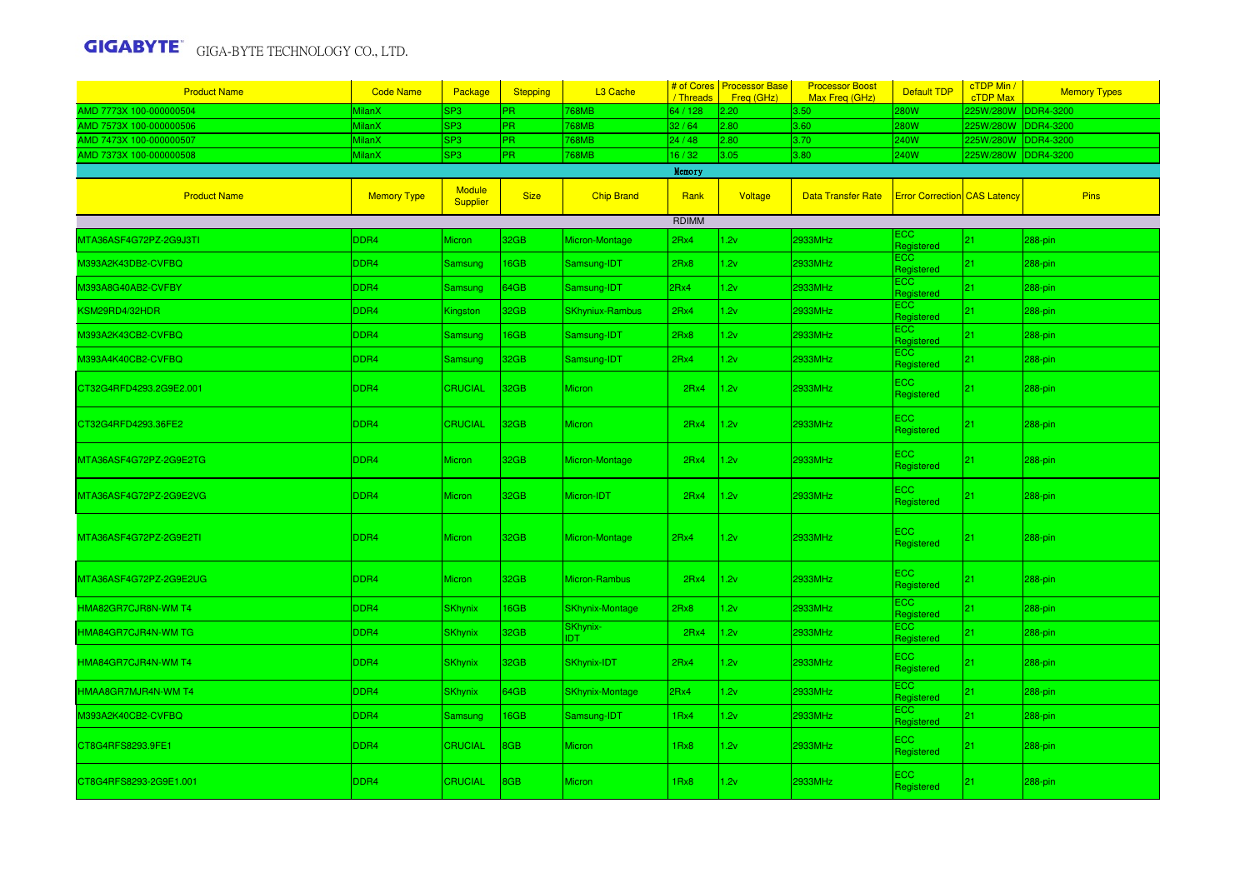| <b>Product Name</b>                       | <b>Code Name</b>   | Package                          | <b>Stepping</b> | L3 Cache                      | / Threads | # of Cores   Processor Base<br>Freq (GHz) | <b>Processor Boost</b><br>Max Freq (GHz) | <b>Default TDP</b>                  | cTDP Min /<br><b>cTDP Max</b> | <b>Memory Types</b> |
|-------------------------------------------|--------------------|----------------------------------|-----------------|-------------------------------|-----------|-------------------------------------------|------------------------------------------|-------------------------------------|-------------------------------|---------------------|
| AMD 7773X 100-000000504                   | <b>MilanX</b>      | SP3                              | PR.             | 768MB                         | 64 / 128  | 2.20                                      | 3.50                                     | 280W                                | 25W/280W                      | DDR4-3200           |
| MD 7573X 100-000000506                    | <b>MilanX</b>      | SP3                              | PR.             | <b>768MB</b>                  | 32/64     | 2.80                                      | 3.60                                     | 280W                                | 225W/280W                     | DDR4-3200           |
| MD 7473X 100-000000507                    | <b>MilanX</b>      | SP3                              | PR.             | 768MB                         | 24 / 48   | 2.80                                      | 3.70                                     | 240W                                | 225W/280W                     | DR4-3200            |
| AMD 7373X 100-000000508                   | <b>MilanX</b>      | SP3                              | PR.             | 768MB                         | 16/32     | 3.05                                      | 3.80                                     | 240W                                | 225W/280W                     | DDR4-3200           |
|                                           |                    |                                  |                 |                               | Memory    |                                           |                                          |                                     |                               |                     |
| <b>Product Name</b>                       | <b>Memory Type</b> | <b>Module</b><br><b>Supplier</b> | <b>Size</b>     | <b>Chip Brand</b>             | Rank      | Voltage                                   | <b>Data Transfer Rate</b>                | <b>Error Correction CAS Latency</b> |                               | <b>Pins</b>         |
|                                           |                    |                                  |                 |                               | RDIMM     |                                           |                                          |                                     |                               |                     |
| MTA36ASF4G72PZ-2G9J3TI                    | DDR4               | Micron                           | 32GB            | Micron-Montage                | 2Rx4      | .2v                                       | 2933MHz                                  | ECC.<br>Registered                  | 21                            | 288-pin             |
| M393A2K43DB2-CVFBQ                        | DDR4               | Samsung                          | 16GB            | Samsung-IDT                   | 2Rx8      | 1.2v                                      | <b>2933MHz</b>                           | ECC<br>Registered                   | 21                            | 288-pin             |
| M393A8G40AB2-CVFBY                        | DDR4               | Samsung                          | 64GB            | Samsung-IDT                   | 2Rx4      | 1.2v                                      | 2933MHz                                  | <b>ECC</b><br>Registered            | 21                            | 288-pin             |
| <b><sm29rd4 32hdr<="" b=""></sm29rd4></b> | DDR4               | Kingston                         | 32GB            | <b>SKhyniux-Rambus</b>        | 2Rx4      | .2v                                       | 2933MHz                                  | ECC<br>Registered                   | 21                            | 288-pin             |
| M393A2K43CB2-CVFBQ                        | DDR4               | Samsung                          | 16GB            | Samsung-IDT                   | 2Rx8      | 1.2v                                      | 2933MHz                                  | <b>ECC</b><br>Registered            | 21                            | 288-pin             |
| M393A4K40CB2-CVFBQ                        | DDR4               | Samsung                          | 32GB            | Samsung-IDT                   | 2Rx4      | .2v                                       | 2933MHz                                  | ECC<br>Registered                   | 21                            | 288-pin             |
| CT32G4RFD4293.2G9E2.001                   | DDR4               | <b>CRUCIAL</b>                   | 32GB            | <b>Micron</b>                 | 2Rx4      | 1.2v                                      | 2933MHz                                  | <b>ECC</b><br>Registered            | 21                            | 288-pin             |
| CT32G4RFD4293.36FE2                       | DDR4               | <b>CRUCIAL</b>                   | 32GB            | <b>Micron</b>                 | 2Rx4      | 1.2v                                      | 2933MHz                                  | ECC.<br>Registered                  | 21                            | 288-pin             |
| MTA36ASF4G72PZ-2G9E2TG                    | DDR4               | Micron                           | 32GB            | Micron-Montage                | 2Rx4      | 1.2v                                      | 2933MHz                                  | <b>ECC</b><br>Registered            | 21                            | 288-pin             |
| MTA36ASF4G72PZ-2G9E2VG                    | DDR <sub>4</sub>   | <b>Micron</b>                    | 32GB            | Micron-IDT                    | 2Rx4      | 1.2v                                      | 2933MHz                                  | <b>ECC</b><br>Registered            | 21                            | 288-pin             |
| MTA36ASF4G72PZ-2G9E2TI                    | DDR4               | <b>Micron</b>                    | 32GB            | Micron-Montage                | 2Rx4      | 1.2v                                      | 2933MHz                                  | <b>ECC</b><br>Registered            | 21                            | 288-pin             |
| MTA36ASF4G72PZ-2G9E2UG                    | DDR4               | Micron                           | 32GB            | Micron-Rambus                 | 2Rx4      | 1.2v                                      | 2933MHz                                  | ECC.<br>Registered                  | 21                            | 288-pin             |
| HMA82GR7CJR8N-WM T4                       | DDR4               | <b>SKhynix</b>                   | 16GB            | <b>SKhynix-Montage</b>        | 2Rx8      | 1.2v                                      | 2933MHz                                  | ECC<br>Registered                   | 21                            | 288-pin             |
| HMA84GR7CJR4N-WM TG                       | DDR4               | <b>SKhynix</b>                   | 32GB            | <b>SKhynix-</b><br><b>IDT</b> | 2Rx4      | 1.2v                                      | 2933MHz                                  | ECC<br>Registered                   | 21                            | 288-pin             |
| HMA84GR7CJR4N-WM T4                       | DDR4               | <b>SKhynix</b>                   | 32GB            | SKhynix-IDT                   | 2Rx4      | 1.2v                                      | 2933MHz                                  | <b>ECC</b><br>Registered            | 21                            | 288-pin             |
| HMAA8GR7MJR4N-WM T4                       | DDR4               | <b>SKhynix</b>                   | 64GB            | <b>SKhynix-Montage</b>        | 2Rx4      | 1.2v                                      | 2933MHz                                  | <b>ECC</b><br>Registered            | 21                            | 288-pin             |
| M393A2K40CB2-CVFBQ                        | DDR4               | Samsung                          | 16GB            | Samsung-IDT                   | 1Rx4      | 2v                                        | 2933MHz                                  | ECC<br>Registered                   | 21                            | 288-pin             |
| CT8G4RFS8293.9FE1                         | DDR4               | <b>CRUCIAL</b>                   | 8GB             | <b>Micron</b>                 | 1Rx8      | 1.2v                                      | 2933MHz                                  | <b>ECC</b><br>Registered            | 21                            | 288-pin             |
| CT8G4RFS8293-2G9E1.001                    | DDR <sub>4</sub>   | <b>CRUCIAL</b>                   | 8GB             | <b>Micron</b>                 | 1Rx8      | 1.2v                                      | 2933MHz                                  | <b>ECC</b><br>Registered            | 21                            | 288-pin             |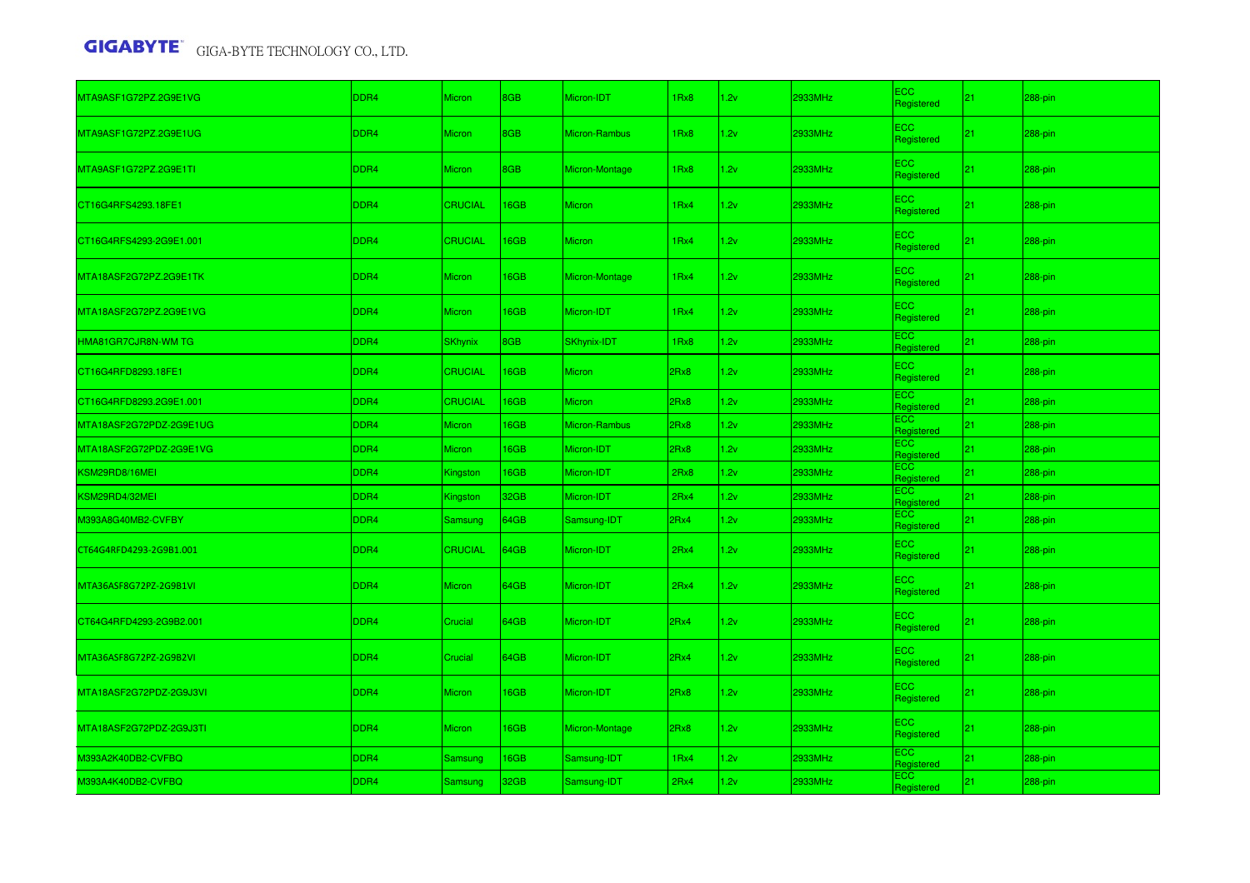| MTA9ASF1G72PZ.2G9E1VG   | DDR <sub>4</sub> | <b>Micron</b>  | 8GB  | Micron-IDT         | 1Rx8             | 1.2v | 2933MHz | <b>ECC</b><br>Registered | 21 <sup>2</sup> | $288$ -pin |
|-------------------------|------------------|----------------|------|--------------------|------------------|------|---------|--------------------------|-----------------|------------|
| MTA9ASF1G72PZ.2G9E1UG   | DDR4             | <b>Micron</b>  | 8GB  | Micron-Rambus      | 1Rx8             | 1.2v | 2933MHz | <b>ECC</b><br>Registered | 21              | 288-pin    |
| MTA9ASF1G72PZ.2G9E1TI   | DDR4             | Micron         | 8GB  | Micron-Montage     | 1Rx8             | 1.2v | 2933MHz | ECC.<br>Registered       | 21 <sup>2</sup> | $288$ -pin |
| CT16G4RFS4293.18FE1     | DDR4             | <b>CRUCIAL</b> | 16GB | <b>Micron</b>      | 1 <sub>Rx4</sub> | 1.2v | 2933MHz | <b>ECC</b><br>Registered | 21 <sub>2</sub> | $288$ -pin |
| CT16G4RFS4293-2G9E1.001 | DDR <sub>4</sub> | <b>CRUCIAL</b> | 16GB | <b>Micron</b>      | 1Rx4             | 1.2v | 2933MHz | ECC.<br>Registered       | 21              | 288-pin    |
| MTA18ASF2G72PZ.2G9E1TK  | DDR4             | <b>Micron</b>  | 16GB | Micron-Montage     | 1Rx4             | 1.2v | 2933MHz | <b>ECC</b><br>Registered | 21 <sub>2</sub> | 288-pin    |
| MTA18ASF2G72PZ.2G9E1VG  | DDR <sub>4</sub> | <b>Micron</b>  | 16GB | Micron-IDT         | 1Rx4             | 1.2v | 2933MHz | <b>ECC</b><br>Registered | 21              | 288-pin    |
| HMA81GR7CJR8N-WM TG     | DDR4             | <b>SKhynix</b> | 8GB  | <b>SKhynix-IDT</b> | 1Rx8             | 2v   | 2933MHz | ECC<br>Registered        | 21 <sub>1</sub> | 288-pin    |
| CT16G4RFD8293.18FE1     | DDR4             | <b>CRUCIAL</b> | 16GB | Micron             | 2Rx8             | 1.2v | 2933MHz | <b>ECC</b><br>Registered | 21 <sub>2</sub> | 288-pin    |
| CT16G4RFD8293.2G9E1.001 | DDR4             | <b>CRUCIAL</b> | 16GB | <b>Micron</b>      | 2Rx8             | 1.2v | 2933MHz | ECC<br>Registered        | 21              | 288-pin    |
| MTA18ASF2G72PDZ-2G9E1UG | DDR4             | <b>Micron</b>  | 16GB | Micron-Rambus      | 2Rx8             | 2v   | 2933MHz | <b>ECC</b><br>Registered | 21              | $288$ -pin |
| MTA18ASF2G72PDZ-2G9E1VG | DDR4             | <b>Micron</b>  | 16GB | Micron-IDT         | 2Rx8             | 2v   | 2933MHz | <b>ECC</b><br>Registered | 21              | 288-pin    |
| KSM29RD8/16MEI          | DDR4             | Kingston       | 16GB | Micron-IDT         | 2Rx8             | 2v   | 2933MHz | ECC<br>Registered        | 21              | $288$ -pin |
| KSM29RD4/32MEI          | DDR4             | Kingston       | 32GB | Micron-IDT         | 2Rx4             | 2v   | 2933MHz | ECC<br>Registered        | 21              | 288-pin    |
| M393A8G40MB2-CVFBY      | DDR4             | Samsung        | 64GB | Samsung-IDT        | 2Rx4             | 2v   | 2933MHz | ECC<br>Registered        | 21 <sub>1</sub> | 288-pin    |
| CT64G4RFD4293-2G9B1.001 | DDR4             | <b>CRUCIAL</b> | 64GB | Micron-IDT         | 2Rx4             | 1.2v | 2933MHz | <b>ECC</b><br>Registered | 21              | 288-pin    |
| MTA36ASF8G72PZ-2G9B1VI  | DDR4             | <b>Micron</b>  | 64GB | Micron-IDT         | 2Rx4             | 1.2v | 2933MHz | ECC<br>Registered        | 21 <sub>1</sub> | 288-pin    |
| CT64G4RFD4293-2G9B2.001 | DDR <sub>4</sub> | Crucial        | 64GB | Micron-IDT         | 2Rx4             | 1.2v | 2933MHz | <b>ECC</b><br>Registered | 21              | 288-pin    |
| MTA36ASF8G72PZ-2G9B2VI  | DDR4             | Crucial        | 64GB | Micron-IDT         | 2Rx4             | 1.2v | 2933MHz | <b>ECC</b><br>Registered | 21 <sub>1</sub> | 288-pin    |
| MTA18ASF2G72PDZ-2G9J3VI | DDR <sub>4</sub> | Micron         | 16GB | Micron-IDT         | 2Rx8             | 1.2v | 2933MHz | <b>ECC</b><br>Registered | 21 <sub>2</sub> | 288-pin    |
| MTA18ASF2G72PDZ-2G9J3TI | DDR4             | <b>Micron</b>  | 16GB | Micron-Montage     | 2Rx8             | 1.2v | 2933MHz | <b>ECC</b><br>Registered | 21 <sup>2</sup> | 288-pin    |
| M393A2K40DB2-CVFBQ      | DDR4             | Samsung        | 16GB | Samsung-IDT        | 1 <sub>Rx4</sub> | 1.2v | 2933MHz | ECC<br>Registered        | 21              | 288-pin    |
| M393A4K40DB2-CVFBQ      | DDR4             | Samsung        | 32GB | Samsung-IDT        | 2Rx4             | 2v   | 2933MHz | <b>ECC</b><br>Registered | 21              | 288-pin    |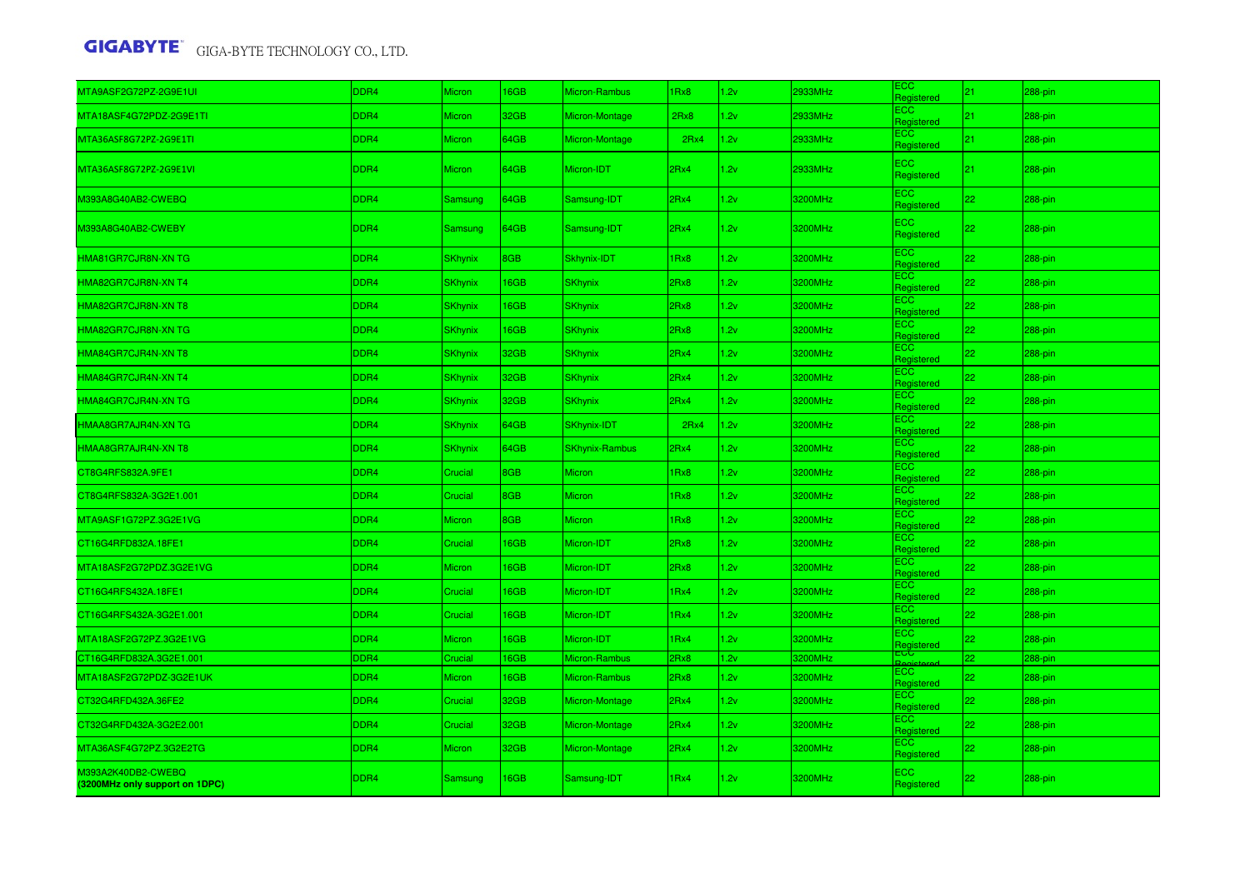| MTA9ASF2G72PZ-2G9E1UI                                | DDR4             | <b>Micron</b>  | 16GB | Micron-Rambus         | IRx8             | 1.2v | 2933MHz | ECC.<br>Registered       | 21 <sub>2</sub> | 288-pin    |
|------------------------------------------------------|------------------|----------------|------|-----------------------|------------------|------|---------|--------------------------|-----------------|------------|
| MTA18ASF4G72PDZ-2G9E1TI                              | DDR4             | <b>Micron</b>  | 32GB | Micron-Montage        | 2Rx8             | 2v   | 2933MHz | ECC.<br>Registered       | 21 <sub>2</sub> | 288-pin    |
| MTA36ASF8G72PZ-2G9E1TI                               | DDR4             | <b>Micron</b>  | 64GB | Micron-Montage        | 2Rx4             | 1.2v | 2933MHz | <b>ECC</b><br>Registered | 21 <sub>2</sub> | 288-pin    |
| MTA36ASF8G72PZ-2G9E1VI                               | DDR4             | <b>Micron</b>  | 64GB | Micron-IDT            | 2Rx4             | 2v   | 2933MHz | <b>ECC</b><br>Registered | 21 <sub>1</sub> | $288$ -pin |
| M393A8G40AB2-CWEBQ                                   | DDR4             | Samsung        | 64GB | Samsung-IDT           | 2Rx4             | .2v  | 3200MHz | <b>ECC</b><br>Registered | 22 <sub>1</sub> | 288-pin    |
| M393A8G40AB2-CWEBY                                   | DDR4             | Samsung        | 64GB | Samsung-IDT           | 2Rx4             | 1.2v | 3200MHz | <b>ECC</b><br>Registered | 22              | 288-pin    |
| HMA81GR7CJR8N-XN TG                                  | DDR4             | <b>SKhynix</b> | 8GB  | Skhynix-IDT           | 1Rx8             | 2v   | 3200MHz | <b>ECC</b><br>Registered | 22              | 288-pin    |
| HMA82GR7CJR8N-XN T4                                  | DDR4             | <b>SKhynix</b> | 16GB | <b>SKhynix</b>        | 2Rx8             | .2v  | 3200MHz | <b>ECC</b><br>Registered | 22              | 288-pin    |
| HMA82GR7CJR8N-XN T8                                  | DDR4             | <b>SKhynix</b> | 16GB | <b>SKhynix</b>        | 2Rx8             | .2v  | 3200MHz | <b>ECC</b><br>Registered | 22              | 288-pin    |
| HMA82GR7CJR8N-XN TG                                  | DDR4             | <b>SKhynix</b> | 16GB | <b>SKhynix</b>        | 2Rx8             | 2v   | 3200MHz | <b>ECC</b><br>Registered | 22              | 288-pin    |
| HMA84GR7CJR4N-XN T8                                  | DDR4             | <b>SKhynix</b> | 32GB | <b>SKhynix</b>        | 2Rx4             | 2v   | 3200MHz | <b>ECC</b><br>Registered | 22              | 288-pin    |
| HMA84GR7CJR4N-XN T4                                  | DDR4             | <b>SKhynix</b> | 32GB | <b>SKhynix</b>        | 2Rx4             | 2v   | 3200MHz | <b>ECC</b><br>Registered | 22              | 288-pin    |
| HMA84GR7CJR4N-XN TG                                  | DDR4             | <b>SKhynix</b> | 32GB | <b>SKhynix</b>        | 2Rx4             | 1.2v | 3200MHz | ECC.<br>Registered       | 22              | 288-pin    |
| HMAA8GR7AJR4N-XN TG                                  | DDR4             | <b>SKhynix</b> | 64GB | <b>SKhynix-IDT</b>    | 2Rx4             | 1.2v | 3200MHz | <b>ECC</b><br>Registered | 22              | 288-pin    |
| HMAA8GR7AJR4N-XN T8                                  | DDR4             | <b>SKhynix</b> | 64GB | <b>SKhynix-Rambus</b> | 2Rx4             | .2v  | 3200MHz | <b>ECC</b><br>Registered | 22.             | 288-pin    |
| CT8G4RFS832A.9FE1                                    | DDR4             | Crucial        | 8GB  | <b>Micron</b>         | 1Rx8             | 1.2v | 3200MHz | <b>ECC</b><br>Registered | 22              | 288-pin    |
| CT8G4RFS832A-3G2E1.001                               | DDR4             | Crucial        | 8GB  | <b>Micron</b>         | 1Rx8             | 1.2v | 3200MHz | <b>ECC</b><br>Registered | 22              | 288-pin    |
| MTA9ASF1G72PZ.3G2E1VG                                | DDR4             | Micron         | 8GB  | <b>Micron</b>         | 1Rx8             | 1.2v | 3200MHz | ECC.<br>Registered       | 22              | 288-pin    |
| CT16G4RFD832A.18FE1                                  | DDR4             | Crucial        | 16GB | Micron-IDT            | 2Rx8             | .2v  | 3200MHz | <b>ECC</b><br>Registered | 22 <sub>2</sub> | 288-pin    |
| MTA18ASF2G72PDZ.3G2E1VG                              | DDR4             | <b>Micron</b>  | 16GB | Micron-IDT            | 2Rx8             | 1.2v | 3200MHz | <b>ECC</b><br>Registered | 22              | 288-pin    |
| CT16G4RFS432A.18FE1                                  | DDR4             | Crucial        | 16GB | Micron-IDT            | 1 <sub>Rx4</sub> | 1.2v | 3200MHz | ECC<br>Registered        | 22.             | 288-pin    |
| CT16G4RFS432A-3G2E1.001                              | DDR4             | Crucial        | 16GB | Micron-IDT            | 1 <sub>Rx4</sub> | 2v   | 3200MHz | <b>ECC</b><br>Registered | 22.             | 288-pin    |
| MTA18ASF2G72PZ.3G2E1VG                               | DDR4             | <b>Micron</b>  | 16GB | Micron-IDT            | 1Rx4             | 2v   | 3200MHz | ECC.<br>Registered       | 22              | 288-pin    |
| CT16G4RFD832A.3G2E1.001                              | DDR <sub>4</sub> | Crucial        | 16GB | Micron-Rambus         | 2Rx8             | 1.2v | 3200MHz | Regist                   | 22              | 288-pin    |
| MTA18ASF2G72PDZ-3G2E1UK                              | DDR4             | Micron         | 16GB | Micron-Rambus         | 2Rx8             | 2v   | 3200MHz | ECC.<br>Registered       | 22.             | 288-pin    |
| CT32G4RFD432A.36FE2                                  | DDR4             | Crucial        | 32GB | Micron-Montage        | 2Rx4             | 2v   | 3200MHz | <b>ECC</b><br>Registered | 22              | 288-pin    |
| CT32G4RFD432A-3G2E2.001                              | DDR4             | Crucial        | 32GB | Micron-Montage        | 2Rx4             | 2v   | 3200MHz | <b>ECC</b><br>Registered | 22              | 288-pin    |
| MTA36ASF4G72PZ.3G2E2TG                               | DDR4             | <b>Micron</b>  | 32GB | Micron-Montage        | 2Rx4             | 2v   | 3200MHz | <b>ECC</b><br>Registered | 22              | 288-pin    |
| M393A2K40DB2-CWEBQ<br>(3200MHz only support on 1DPC) | DDR <sub>4</sub> | Samsung        | 16GB | Samsung-IDT           | 1 <sub>Rx4</sub> | 1.2v | 3200MHz | <b>ECC</b><br>Registered | 22              | 288-pin    |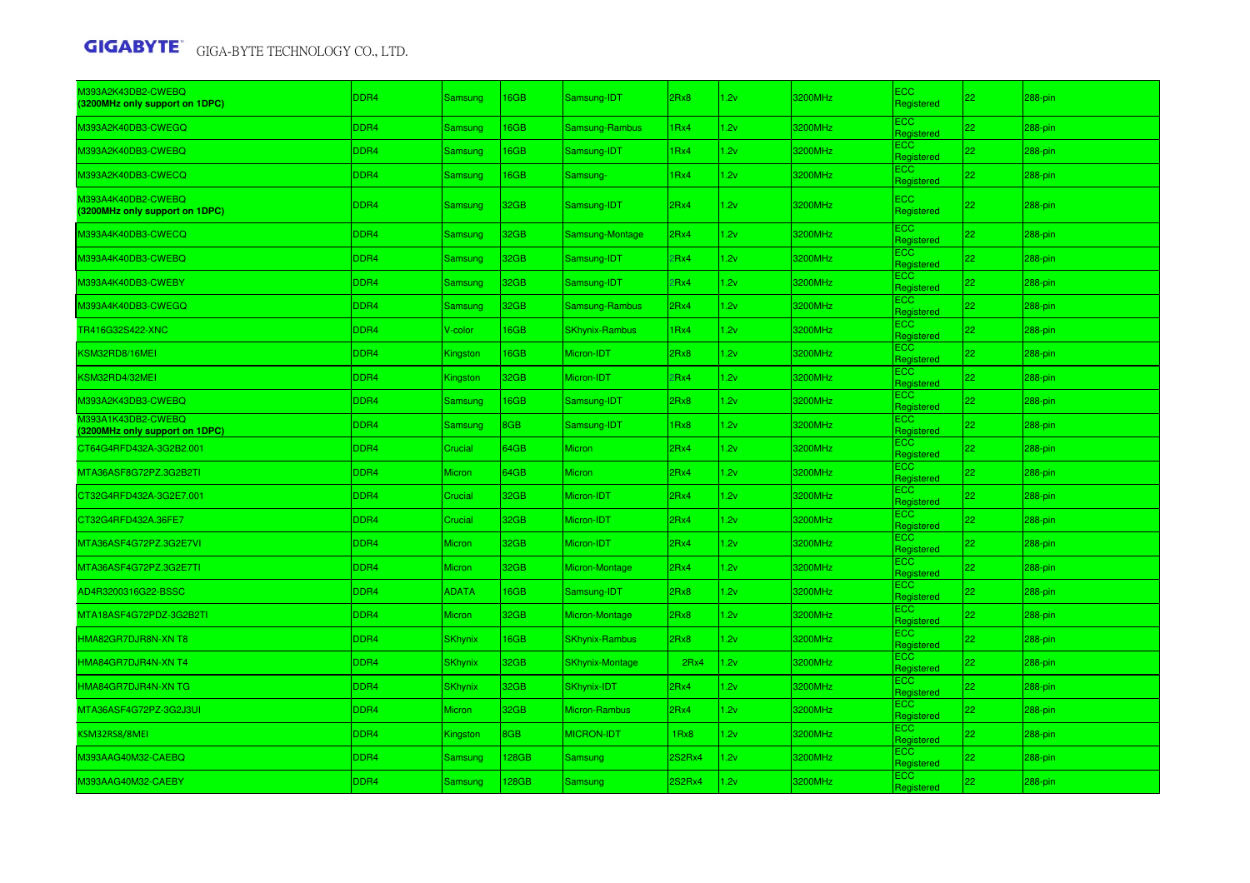| M393A2K43DB2-CWEBQ<br>(3200MHz only support on 1DPC) | DDR4 | Samsung        | 16GB        | Samsung-IDT            | 2Rx8             | 1.2v | 3200MHz | <b>ECC</b><br>Registered | 22              | 288-pin |
|------------------------------------------------------|------|----------------|-------------|------------------------|------------------|------|---------|--------------------------|-----------------|---------|
| M393A2K40DB3-CWEGQ                                   | DDR4 | Samsung        | <b>6GB</b>  | Samsung-Rambus         | Rx4              | 2v   | 3200MHz | ECC<br>Registered        | 22              | 288-pin |
| M393A2K40DB3-CWEBQ                                   | DDR4 | Samsung        | 16GB        | Samsung-IDT            | 1 <sub>Rx4</sub> | 1.2v | 3200MHz | <b>ECC</b><br>Registered | 22              | 288-pin |
| M393A2K40DB3-CWECQ                                   | DDR4 | Samsung        | 16GB        | Samsung-               | 1 <sub>Rx4</sub> | 1.2v | 3200MHz | ECC<br>Registered        | 22              | 288-pin |
| M393A4K40DB2-CWEBQ<br>(3200MHz only support on 1DPC) | DDR4 | Samsung        | 32GB        | Samsung-IDT            | 2Rx4             | 1.2v | 3200MHz | <b>ECC</b><br>Registered | 22              | 288-pin |
| M393A4K40DB3-CWECQ                                   | DDR4 | Samsung        | 32GB        | Samsung-Montage        | 2Rx4             | .2v  | 3200MHz | <b>ECC</b><br>Registered | 22              | 288-pin |
| M393A4K40DB3-CWEBQ                                   | DDR4 | Samsung        | 32GB        | Samsung-IDT            | Rx4              | 1.2v | 3200MHz | <b>ECC</b><br>Registered | 22              | 288-pin |
| M393A4K40DB3-CWEBY                                   | DDR4 | Samsung        | 32GB        | Samsung-IDT            | Rx4              | 1.2v | 3200MHz | <b>ECC</b><br>Registered | 22              | 288-pin |
| M393A4K40DB3-CWEGQ                                   | DDR4 | Samsung        | 32GB        | Samsung-Rambus         | 2Rx4             | 1.2v | 3200MHz | <b>ECC</b><br>Registered | 22              | 288-pin |
| TR416G32S422-XNC                                     | DDR4 | V-color        | <b>6GB</b>  | <b>SKhynix-Rambus</b>  | Rx4              | .2v  | 3200MHz | <b>ECC</b><br>Registered | 22              | 288-pin |
| KSM32RD8/16MEI                                       | DDR4 | Kingston       | 16GB        | Micron-IDT             | 2Rx8             | .2v  | 3200MHz | <b>ECC</b><br>Registered | 22              | 288-pin |
| <b>SM32RD4/32MEI</b>                                 | DDR4 | Kingston       | 32GB        | Micron-IDT             | Rx4              | 1.2v | 3200MHz | <b>ECC</b><br>Registered | 22              | 288-pin |
| M393A2K43DB3-CWEBQ                                   | DDR4 | Samsung        | 16GB        | Samsung-IDT            | 2Rx8             | 1.2v | 3200MHz | <b>ECC</b><br>Registered | 22              | 288-pin |
| M393A1K43DB2-CWEBQ<br>(3200MHz only support on 1DPC) | DDR4 | Samsung        | 8GB         | Samsung-IDT            | Rx8              | .2v  | 3200MHz | <b>ECC</b><br>Registered | 22              | 288-pin |
| CT64G4RFD432A-3G2B2.001                              | DDR4 | Crucial        | 64GB        | Micron                 | 2Rx4             | .2v  | 3200MHz | <b>ECC</b><br>Registered | 22              | 288-pin |
| MTA36ASF8G72PZ.3G2B2TI                               | DDR4 | <b>Micron</b>  | 64GB        | <b>Micron</b>          | 2Rx4             | .2v  | 3200MHz | <b>ECC</b><br>Registered | 22              | 288-pin |
| CT32G4RFD432A-3G2E7.001                              | DDR4 | Crucial        | 32GB        | Micron-IDT             | 2Rx4             | 1.2v | 3200MHz | <b>ECC</b><br>Registered | 22              | 288-pin |
| CT32G4RFD432A.36FE7                                  | DDR4 | Crucial        | 32GB        | Micron-IDT             | 2Rx4             | 2v   | 3200MHz | <b>ECC</b><br>Registered | 22              | 288-pin |
| MTA36ASF4G72PZ.3G2E7VI                               | DDR4 | <b>Micron</b>  | 32GB        | Micron-IDT             | 2Rx4             | 1.2v | 3200MHz | <b>ECC</b><br>Registered | 22              | 288-pin |
| MTA36ASF4G72PZ.3G2E7TI                               | DDR4 | <b>Micron</b>  | 32GB        | Micron-Montage         | 2Rx4             | 1.2v | 3200MHz | <b>ECC</b><br>Registered | 22              | 288-pin |
| AD4R3200316G22-BSSC                                  | DDR4 | <b>ADATA</b>   | 16GB        | Samsung-IDT            | 2Rx8             | 2v   | 3200MHz | <b>ECC</b><br>Registered | 22              | 288-pin |
| MTA18ASF4G72PDZ-3G2B2TI                              | DDR4 | <b>Micron</b>  | 32GB        | Micron-Montage         | 2Rx8             | 2v   | 3200MHz | <b>ECC</b><br>Registered | 22              | 288-pin |
| HMA82GR7DJR8N-XN T8                                  | DDR4 | <b>SKhynix</b> | <b>I6GB</b> | <b>SKhynix-Rambus</b>  | 2Rx8             | .2v  | 3200MHz | <b>ECC</b><br>Registered | 22 <sub>2</sub> | 288-pin |
| HMA84GR7DJR4N-XN T4                                  | DDR4 | <b>SKhynix</b> | 32GB        | <b>SKhynix-Montage</b> | 2Rx4             | 1.2v | 3200MHz | <b>ECC</b><br>Registered | 22              | 288-pin |
| HMA84GR7DJR4N-XN TG                                  | DDR4 | <b>SKhynix</b> | 32GB        | <b>SKhynix-IDT</b>     | 2Rx4             | .2v  | 3200MHz | ECC<br>Registered        | 22              | 288-pin |
| MTA36ASF4G72PZ-3G2J3UI                               | DDR4 | <b>Micron</b>  | 32GB        | Micron-Rambus          | 2Rx4             | .2v  | 3200MHz | <b>ECC</b><br>Registered | 22              | 288-pin |
| KSM32RS8/8MEI                                        | DDR4 | Kingston       | 8GB         | <b>MICRON-IDT</b>      | 1Rx8             | 1.2v | 3200MHz | <b>ECC</b><br>Registered | 22              | 288-pin |
| M393AAG40M32-CAEBQ                                   | DDR4 | Samsung        | 128GB       | Samsung                | 2S2Rx4           | 1.2v | 3200MHz | ECC<br>Registered        | 22              | 288-pin |
| M393AAG40M32-CAEBY                                   | DDR4 | Samsung        | 128GB       | <b>Samsung</b>         | 2S2Rx4           | 1.2v | 3200MHz | <b>ECC</b><br>Registered | 22              | 288-pin |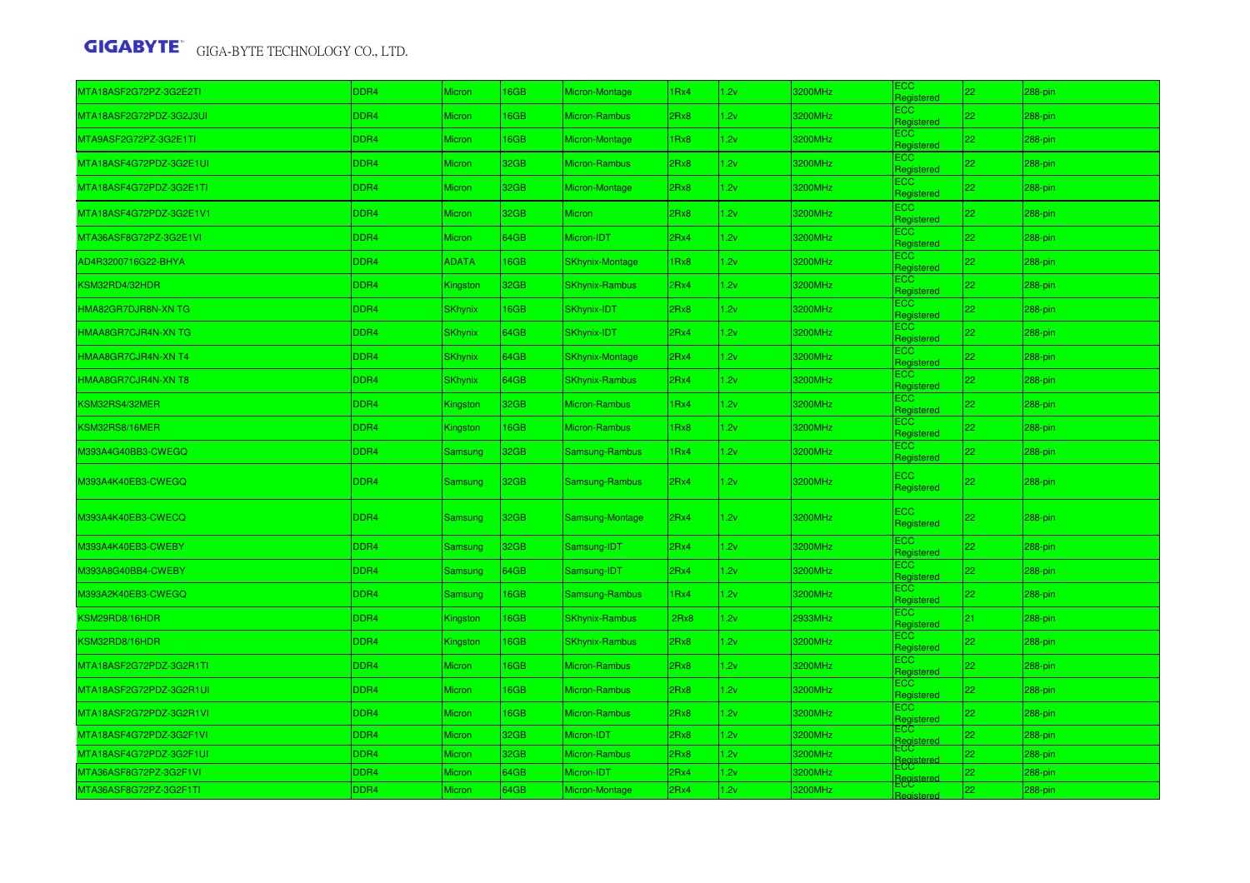| MTA18ASF2G72PZ-3G2E2TI  | DDR4 | Micron         | 16GB | Micron-Montage         | 1Rx4 | 2v   | 3200MHz | ЕСС<br>Registered        | 22 <sub>1</sub> | 288-pin |
|-------------------------|------|----------------|------|------------------------|------|------|---------|--------------------------|-----------------|---------|
| MTA18ASF2G72PDZ-3G2J3UI | DDR4 | <b>Micron</b>  | 16GB | Micron-Rambus          | 2Rx8 | 1.2v | 3200MHz | ECC<br>Registered        | 22 <sub>1</sub> | 288-pin |
| MTA9ASF2G72PZ-3G2E1TI   | DDR4 | <b>Micron</b>  | 16GB | Micron-Montage         | 1Rx8 | 2v   | 3200MHz | ECC.<br>Registered       | 22              | 288-pin |
| MTA18ASF4G72PDZ-3G2E1UI | DDR4 | <b>Micron</b>  | 32GB | Micron-Rambus          | 2Rx8 | 1.2v | 3200MHz | ECC<br>Registered        | 22.             | 288-pin |
| MTA18ASF4G72PDZ-3G2E1TI | DDR4 | <b>Micron</b>  | 32GB | Micron-Montage         | 2Rx8 | 1.2v | 3200MHz | <b>ECC</b><br>Registered | 22              | 288-pin |
| MTA18ASF4G72PDZ-3G2E1V1 | DDR4 | <b>Micron</b>  | 32GB | <b>Micron</b>          | 2Rx8 | 2v   | 3200MHz | <b>ECC</b><br>Registered | 22              | 288-pin |
| MTA36ASF8G72PZ-3G2E1VI  | DDR4 | <b>Micron</b>  | 64GB | Micron-IDT             | 2Rx4 | 1.2v | 3200MHz | <b>ECC</b><br>Registered | 22.             | 288-pin |
| AD4R3200716G22-BHYA     | DDR4 | <b>ADATA</b>   | 16GB | <b>SKhynix-Montage</b> | 1Rx8 | 1.2v | 3200MHz | <b>ECC</b><br>Registered | 22              | 288-pin |
| KSM32RD4/32HDR          | DDR4 | Kingston       | 32GB | <b>SKhynix-Rambus</b>  | PRx4 | 1.2v | 3200MHz | <b>ECC</b><br>Registered | 22 <sub>2</sub> | 288-pin |
| HMA82GR7DJR8N-XN TG     | DDR4 | <b>SKhynix</b> | 16GB | SKhynix-IDT            | 2Rx8 | 1.2v | 3200MHz | <b>ECC</b><br>Registered | 22              | 288-pin |
| HMAA8GR7CJR4N-XN TG     | DDR4 | <b>SKhynix</b> | 64GB | SKhynix-IDT            | 2Rx4 | .2v  | 3200MHz | ECC.<br>Registered       | 22.             | 288-pin |
| HMAA8GR7CJR4N-XN T4     | DDR4 | <b>SKhynix</b> | 64GB | <b>SKhynix-Montage</b> | 2Rx4 | 2v   | 3200MHz | ECC.<br>Registered       | 22              | 288-pin |
| HMAA8GR7CJR4N-XN T8     | DDR4 | <b>SKhynix</b> | 64GB | <b>SKhynix-Rambus</b>  | 2Rx4 | 2v   | 3200MHz | <b>ECC</b><br>Registered | 22              | 288-pin |
| KSM32RS4/32MER          | DDR4 | Kingston       | 32GB | Micron-Rambus          | 1Rx4 | 2v   | 3200MHz | <b>ECC</b><br>Registered | 22              | 288-pin |
| KSM32RS8/16MER          | DDR4 | Kingston       | 16GB | Micron-Rambus          | 1Rx8 | 2v   | 3200MHz | ECC<br>Registered        | 22              | 288-pin |
| M393A4G40BB3-CWEGQ      | DDR4 | Samsung        | 32GB | Samsung-Rambus         | 1Rx4 | 2v   | 3200MHz | ECC<br>Registered        | 22 <sub>1</sub> | 288-pin |
| M393A4K40EB3-CWEGQ      | DDR4 | Samsung        | 32GB | Samsung-Rambus         | 2Rx4 | 1.2v | 3200MHz | ECC<br>Registered        | 22 <sub>1</sub> | 288-pin |
| M393A4K40EB3-CWECQ      | DDR4 | Samsung        | 32GB | Samsung-Montage        | 2Rx4 | 1.2v | 3200MHz | <b>ECC</b><br>Registered | 22.             | 288-pin |
| M393A4K40EB3-CWEBY      | DDR4 | Samsung        | 32GB | Samsung-IDT            | 2Rx4 | 2v   | 3200MHz | <b>ECC</b><br>Registered | 22 <sub>1</sub> | 288-pin |
| M393A8G40BB4-CWEBY      | DDR4 | Samsung        | 64GB | Samsung-IDT            | 2Rx4 | 1.2v | 3200MHz | ECC<br>Registered        | 22 <sub>1</sub> | 288-pin |
| M393A2K40EB3-CWEGQ      | DDR4 | Samsung        | 16GB | Samsung-Rambus         | 1Rx4 | 1.2v | 3200MHz | <b>ECC</b><br>Registered | 22.             | 288-pin |
| KSM29RD8/16HDR          | DDR4 | Kingston       | 16GB | <b>SKhynix-Rambus</b>  | 2Rx8 | 2v   | 2933MHz | ECC<br>Registered        | 21.             | 288-pin |
| KSM32RD8/16HDR          | DDR4 | Kingston       | 16GB | <b>SKhynix-Rambus</b>  | 2Rx8 | 2v   | 3200MHz | <b>ECC</b><br>Registered | 22              | 288-pin |
| MTA18ASF2G72PDZ-3G2R1TI | DDR4 | Micron         | 16GB | Micron-Rambus          | 2Rx8 | 1.2v | 3200MHz | ECC<br>Registered        | 22              | 288-pin |
| MTA18ASF2G72PDZ-3G2R1UI | DDR4 | <b>Micron</b>  | 16GB | Micron-Rambus          | 2Rx8 | 2v   | 3200MHz | <b>ECC</b><br>Registered | 22              | 288-pin |
| MTA18ASF2G72PDZ-3G2R1VI | DDR4 | <b>Micron</b>  | 16GB | Micron-Rambus          | 2Rx8 | .2v  | 3200MHz | ECC<br>Registered        | 22              | 288-pin |
| MTA18ASF4G72PDZ-3G2F1VI | DDR4 | <b>Micron</b>  | 32GB | Micron-IDT             | 2Rx8 | 1.2v | 3200MHz | ECC<br>Registered        | 22              | 288-pin |
| MTA18ASF4G72PDZ-3G2F1UI | DDR4 | Micron         | 32GB | Micron-Rambus          | 2Rx8 | 1.2v | 3200MHz | ECC<br>Registe           | 22.             | 288-pin |
| MTA36ASF8G72PZ-3G2F1VI  | DDR4 | <b>Micron</b>  | 64GB | Micron-IDT             | 2Rx4 | 1.2v | 3200MHz | <b>ECC</b><br>Registe    | 22.             | 288-pin |
| MTA36ASF8G72PZ-3G2F1TI  | DDR4 | Micron         | 64GB | Micron-Montage         | 2Rx4 | 1.2v | 3200MHz | =UU<br>Register          | 22              | 288-pin |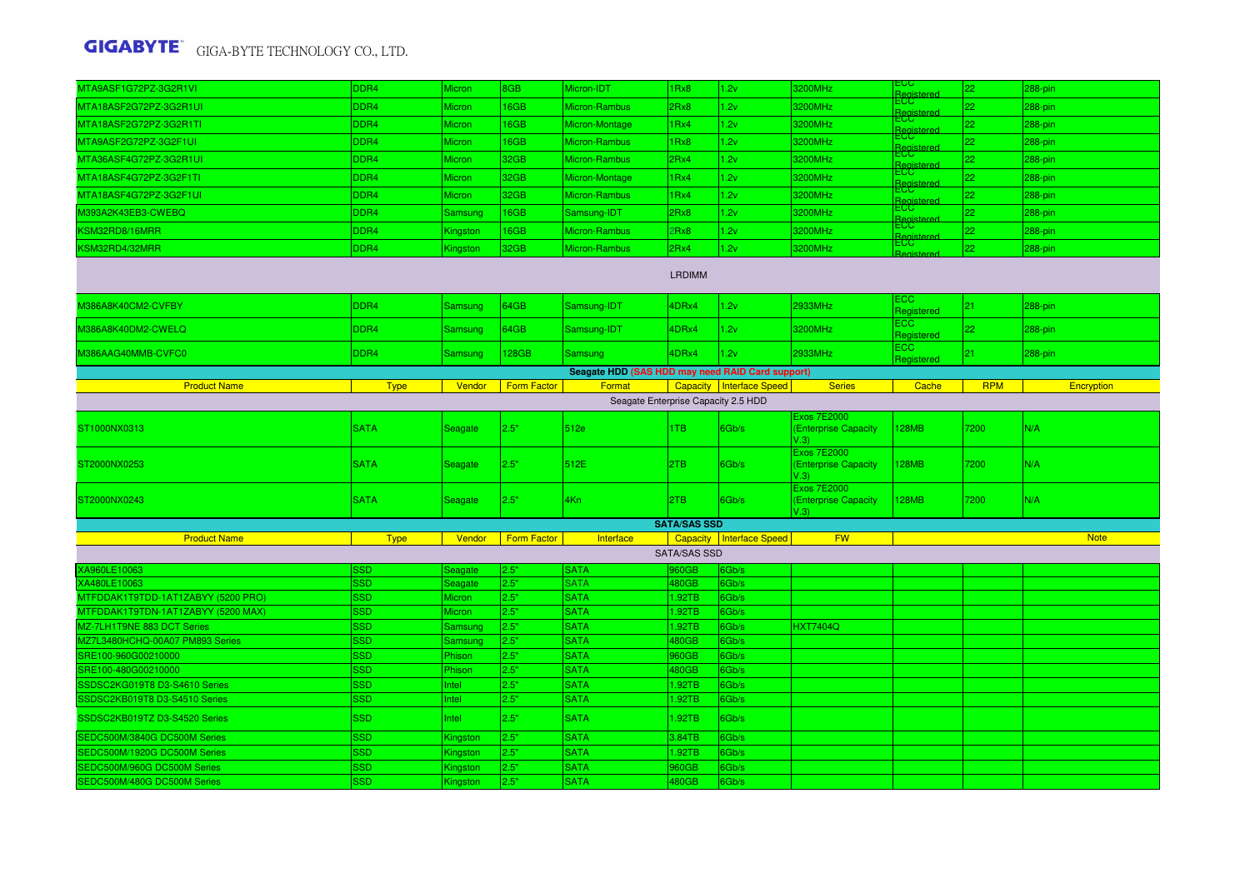| MTA9ASF1G72PZ-3G2R1VI                                                    | DDR4                     | Micron                      | 8GB          | Micron-IDT                                       | 1Rx8                | 1.2v                       | 3200MHz                                            | ECC.<br>Registere  | 22         | 288-pin     |  |
|--------------------------------------------------------------------------|--------------------------|-----------------------------|--------------|--------------------------------------------------|---------------------|----------------------------|----------------------------------------------------|--------------------|------------|-------------|--|
| MTA18ASF2G72PZ-3G2R1UI                                                   | DDR4                     | Micron                      | 16GB         | Micron-Rambus                                    | 2Rx8                | 1.2v                       | 3200MHz                                            | ECC.<br>Registered | 22         | 288-pin     |  |
| MTA18ASF2G72PZ-3G2R1TI                                                   | DDR4                     | <b>Micron</b>               | 16GB         | Micron-Montage                                   | 1Rx4                | 1.2v                       | 3200MHz                                            | ECC<br>Registered  | 22         | 288-pin     |  |
| MTA9ASF2G72PZ-3G2F1UI                                                    | DDR4                     | <b>Micron</b>               | 16GB         | Micron-Rambus                                    | 1 <sub>Rx8</sub>    | 1.2v                       | 3200MHz                                            | ECC<br>Registere   | 22         | 288-pin     |  |
| MTA36ASF4G72PZ-3G2R1UI                                                   | DDR4                     | Micron                      | 32GB         | Micron-Rambus                                    | 2Rx4                | 1.2v                       | 3200MHz                                            | ECC.               | 22         | 288-pin     |  |
| MTA18ASF4G72PZ-3G2F1TI                                                   | DDR4                     | Micron                      | 32GB         | Micron-Montage                                   | 1Rx4                | 1.2v                       | 3200MHz                                            | <b>ECC</b>         | 22         | 288-pin     |  |
| MTA18ASF4G72PZ-3G2F1UI                                                   | DDR4                     | Micron                      | 32GB         | Micron-Rambus                                    | 1Rx4                | 1.2v                       | 3200MHz                                            | ECC<br>Registere   | 22         | 288-pin     |  |
| M393A2K43EB3-CWEBQ                                                       | DDR4                     | Samsung                     | 16GB         | Samsung-IDT                                      | 2Rx8                | 1.2v                       | 3200MHz                                            | ECC<br>Register    | 22         | 288-pin     |  |
| KSM32RD8/16MRR                                                           | DDR4                     | Kingston                    | 16GB         | Micron-Rambus                                    | 2Rx8                | 1.2v                       | 3200MHz                                            | ECC<br>Register    | 22         | 288-pin     |  |
| KSM32RD4/32MRR                                                           | DDR4                     | Kingston                    | 32GB         | Micron-Rambus                                    | 2Rx4                | 1.2v                       | 3200MHz                                            | <b>ECC</b>         | 22         | 288-pin     |  |
| LRDIMM<br>ECC.                                                           |                          |                             |              |                                                  |                     |                            |                                                    |                    |            |             |  |
| M386A8K40CM2-CVFBY                                                       | DDR4                     | Samsung                     | 64GB         | Samsung-IDT                                      | 4DRx4               | 1.2v                       | 2933MHz                                            | Registered         | 21         | 288-pin     |  |
| M386A8K40DM2-CWELQ                                                       | DDR4                     | Samsung                     | 64GB         | Samsung-IDT                                      | 4DRx4               | 1.2v                       | 3200MHz                                            | ECC.<br>Registered | 22         | 288-pin     |  |
| M386AAG40MMB-CVFC0                                                       | DDR4                     | Samsung                     | 128GB        | <b>Samsung</b>                                   | 4DRx4               | 1.2v                       | 2933MHz                                            | ECC.<br>Registered | 21         | 288-pin     |  |
|                                                                          |                          |                             |              | Seagate HDD (SAS HDD may need RAID Card support) |                     |                            |                                                    |                    |            |             |  |
| <b>Product Name</b>                                                      | <b>Type</b>              | Vendor                      | Form Factor  | Format                                           |                     | Capacity   Interface Speed | <b>Series</b>                                      | Cache              | <b>RPM</b> | Encryption  |  |
| Seagate Enterprise Capacity 2.5 HDD                                      |                          |                             |              |                                                  |                     |                            |                                                    |                    |            |             |  |
| ST1000NX0313                                                             | <b>SATA</b>              | Seagate                     | 2.5"         | 512e                                             | 1TB                 | 6Gb/s                      | <b>Exos 7E2000</b><br>(Enterprise Capacity<br>V.3) | <b>128MB</b>       | 7200       | N/A         |  |
| ST2000NX0253                                                             | <b>SATA</b>              | Seagate                     | 2.5"         | 512E                                             | 2TB                 | 6Gb/s                      | <b>Exos 7E2000</b><br>(Enterprise Capacity<br>V.3) | 128MB              | 7200       | N/A         |  |
| ST2000NX0243                                                             | <b>SATA</b>              | Seagate                     | 2.5"         | 4Kn                                              |                     | 6Gb/s                      | <b>Exos 7E2000</b>                                 |                    |            | N/A         |  |
|                                                                          |                          |                             |              |                                                  | 2TB                 |                            | (Enterprise Capacity<br>V.3)                       | <b>128MB</b>       | 7200       |             |  |
|                                                                          |                          |                             |              |                                                  | <b>SATA/SAS SSD</b> |                            |                                                    |                    |            |             |  |
| <b>Product Name</b>                                                      | Type                     | Vendor                      | Form Factor  | Interface                                        | <b>Capacity</b>     | Interface Speed            | <b>FW</b>                                          |                    |            | <b>Note</b> |  |
|                                                                          |                          |                             |              |                                                  | <b>SATA/SAS SSD</b> |                            |                                                    |                    |            |             |  |
| XA960LE10063                                                             | SSD                      | Seagate                     | 2.5"         | <b>SATA</b>                                      | 960GB               | 6Gb/s                      |                                                    |                    |            |             |  |
| XA480LE10063                                                             | <b>SSD</b><br><b>SSD</b> | Seagate<br><b>Micron</b>    | 2.5"         | <b>SATA</b><br><b>SATA</b>                       | 480GB               | 6Gb/s                      |                                                    |                    |            |             |  |
| MTFDDAK1T9TDD-1AT1ZABYY (5200 PRO)<br>MTFDDAK1T9TDN-1AT1ZABYY (5200 MAX) | <b>SSD</b>               | <b>Micron</b>               | 2.5"<br>2.5" | <b>SATA</b>                                      | 1.92TB<br>1.92TB    | 6Gb/s<br>6Gb/s             |                                                    |                    |            |             |  |
| MZ-7LH1T9NE 883 DCT Series                                               | <b>SSD</b>               | Samsung                     | 2.5"         | <b>SATA</b>                                      | 1.92TB              | 6Gb/s                      | <b>HXT7404Q</b>                                    |                    |            |             |  |
| MZ7L3480HCHQ-00A07 PM893 Series                                          | <b>SSD</b>               | Samsung                     | 2.5"         | <b>SATA</b>                                      | 480GB               | 6Gb/s                      |                                                    |                    |            |             |  |
| SRE100-960G00210000                                                      | <b>SSD</b>               | Phison                      | 2.5"         | <b>SATA</b>                                      | 960GB               | 6Gb/s                      |                                                    |                    |            |             |  |
| SRE100-480G00210000                                                      | <b>SSD</b>               | Phison                      | 2.5"         | <b>SATA</b>                                      | 480GB               | 6Gb/s                      |                                                    |                    |            |             |  |
| SSDSC2KG019T8 D3-S4610 Series                                            | <b>SSD</b>               | Intel                       | 2.5"         | <b>SATA</b>                                      | 1.92TB              | 6Gb/s                      |                                                    |                    |            |             |  |
| SSDSC2KB019T8 D3-S4510 Series                                            | <b>SSD</b>               | Intel                       | 2.5"         | <b>SATA</b>                                      | 1.92TB              | 6Gb/s                      |                                                    |                    |            |             |  |
| SSDSC2KB019TZ D3-S4520 Series                                            | <b>SSD</b>               | Intel                       | 2.5"         | <b>SATA</b>                                      | 1.92TB              | 6Gb/s                      |                                                    |                    |            |             |  |
| SEDC500M/3840G DC500M Series                                             | <b>SSD</b>               | Kingston                    | 2.5"         | <b>SATA</b>                                      | 3.84TB              | 6Gb/s                      |                                                    |                    |            |             |  |
| SEDC500M/1920G DC500M Series                                             | <b>SSD</b>               | Kingston                    | 2.5"         | <b>SATA</b>                                      | 1.92TB              | 6Gb/s                      |                                                    |                    |            |             |  |
| SEDC500M/960G DC500M Series<br>SEDC500M/480G DC500M Series               | <b>SSD</b><br><b>SSD</b> | Kingston<br><b>Kingston</b> | 2.5"<br>2.5" | <b>SATA</b><br><b>SATA</b>                       | 960GB<br>480GB      | 6Gb/s<br>6Gb/s             |                                                    |                    |            |             |  |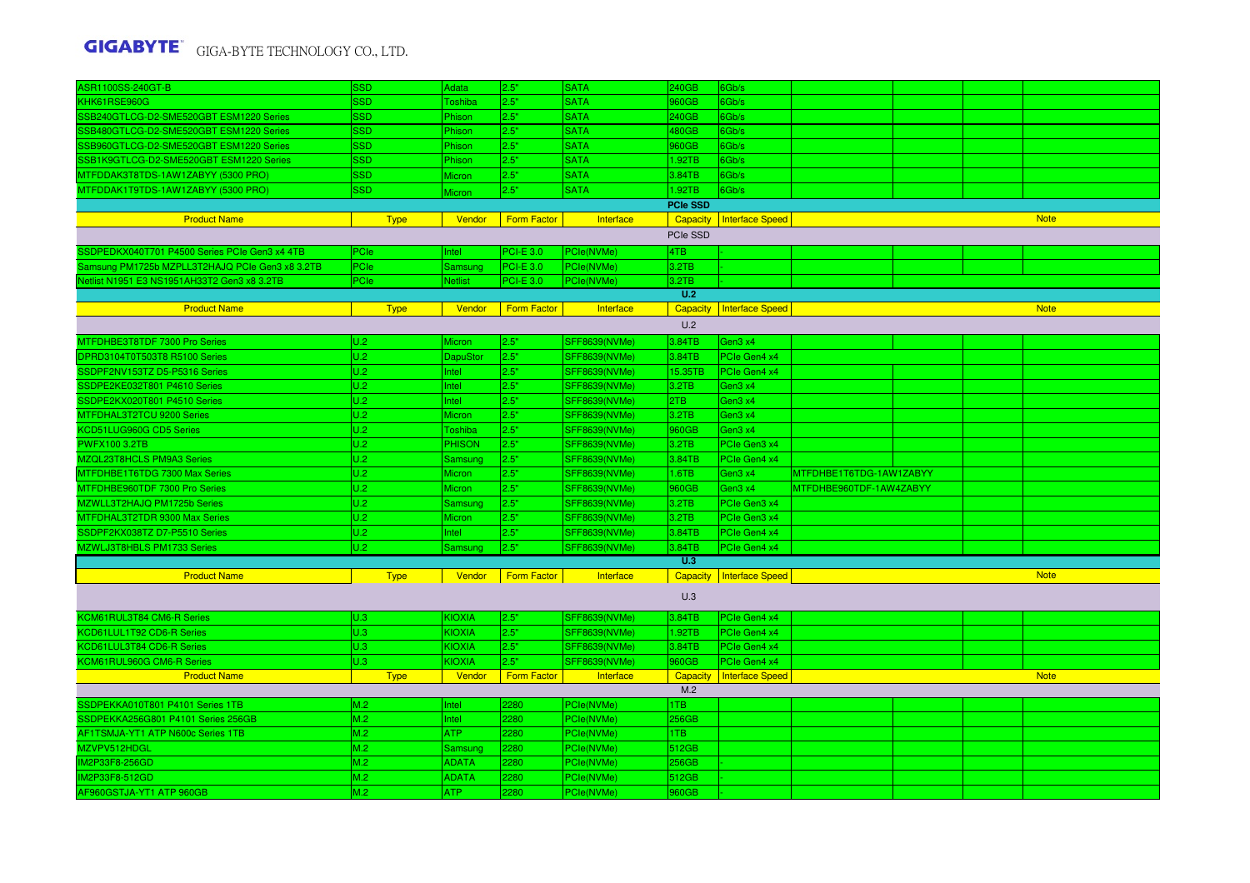| <b>ASR1100SS-240GT-B</b>                        | <b>SSD</b>  | Adata          | 2.5"               | <b>SATA</b>          | 240GB           | 6Gb/s                      |                         |  |             |
|-------------------------------------------------|-------------|----------------|--------------------|----------------------|-----------------|----------------------------|-------------------------|--|-------------|
| KHK61RSE960G                                    | <b>SSD</b>  | <b>Toshiba</b> | 2.5"               | <b>SATA</b>          | 960GB           | 6Gb/s                      |                         |  |             |
| SSB240GTLCG-D2-SME520GBT ESM1220 Series         | <b>SSD</b>  | Phison         | 2.5"               | <b>SATA</b>          | 240GB           | 6Gb/s                      |                         |  |             |
| SSB480GTLCG-D2-SME520GBT ESM1220 Series         | <b>SSD</b>  | Phison         | 2.5"               | <b>SATA</b>          | 480GB           | 6Gb/s                      |                         |  |             |
| SSB960GTLCG-D2-SME520GBT ESM1220 Series         | <b>SSD</b>  | Phison         | 2.5"               | <b>SATA</b>          | 960GB           | 6Gb/s                      |                         |  |             |
| SSB1K9GTLCG-D2-SME520GBT ESM1220 Series         | <b>SSD</b>  | Phison         | 2.5"               | <b>SATA</b>          | 1.92TB          | 6Gb/s                      |                         |  |             |
| MTFDDAK3T8TDS-1AW1ZABYY (5300 PRO)              | SSD.        | <b>Micron</b>  | 2.5"               | <b>SATA</b>          | 3.84TB          | 6Gb/s                      |                         |  |             |
| MTFDDAK1T9TDS-1AW1ZABYY (5300 PRO)              | <b>SSD</b>  | <b>Micron</b>  | 2.5"               | <b>SATA</b>          | 1.92TB          | 6Gb/s                      |                         |  |             |
|                                                 |             |                |                    |                      | <b>PCIe SSD</b> |                            |                         |  |             |
| <b>Product Name</b>                             | <b>Type</b> | Vendor         | <b>Form Factor</b> | Interface            | Capacity        | <b>Interface Speed</b>     |                         |  | <b>Note</b> |
|                                                 |             |                |                    |                      | PCIe SSD        |                            |                         |  |             |
| SSDPEDKX040T701 P4500 Series PCIe Gen3 x4 4TB   | PCIe        | Intel          | <b>PCI-E 3.0</b>   | PCle(NVMe)           | 4TB             |                            |                         |  |             |
| Samsung PM1725b MZPLL3T2HAJQ PCIe Gen3 x8 3.2TB | PCIe        | Samsung        | <b>PCI-E 3.0</b>   | PCle(NVMe)           | 3.2TB           |                            |                         |  |             |
| Vetlist N1951 E3 NS1951AH33T2 Gen3 x8 3.2TB     | <b>PCle</b> | Netlist        | <b>PCI-E 3.0</b>   | PCle(NVMe)           | 3.2TB           |                            |                         |  |             |
|                                                 |             |                |                    |                      | U.2             |                            |                         |  |             |
| <b>Product Name</b>                             | <b>Type</b> | Vendor         | <b>Form Factor</b> | Interface            | <b>Capacity</b> | <b>Interface Speed</b>     |                         |  | <b>Note</b> |
|                                                 |             |                |                    |                      | U.2             |                            |                         |  |             |
| MTFDHBE3T8TDF 7300 Pro Series                   | U.2         | <b>Micron</b>  | 2.5"               | <b>SFF8639(NVMe)</b> | 3.84TB          | Gen3 x4                    |                         |  |             |
| DPRD3104T0T503T8 R5100 Series                   | U.2         | DapuStor       | 2.5"               | <b>SFF8639(NVMe)</b> | 3.84TB          | PCIe Gen4 x4               |                         |  |             |
| SSDPF2NV153TZ D5-P5316 Series                   | U.2         | Intel          | 2.5"               | <b>SFF8639(NVMe)</b> | 15.35TB         | PCIe Gen4 x4               |                         |  |             |
| SSDPE2KE032T801 P4610 Series                    | U.2         | Intel          | 2.5"               | <b>SFF8639(NVMe)</b> | 3.2TB           | Gen3 x4                    |                         |  |             |
| SSDPE2KX020T801 P4510 Series                    | U.2         | Intel          | 2.5"               | <b>SFF8639(NVMe)</b> | 2TB             | Gen3 x4                    |                         |  |             |
| MTFDHAL3T2TCU 9200 Series                       | U.2         | <b>Micron</b>  | 2.5"               | <b>SFF8639(NVMe)</b> | 3.2TB           | Gen3 x4                    |                         |  |             |
| KCD51LUG960G CD5 Series                         | U.2         | <b>Toshiba</b> | 2.5"               | <b>SFF8639(NVMe)</b> | 960GB           | Gen3 x4                    |                         |  |             |
| <b>PWFX100 3.2TB</b>                            | U.2         | <b>PHISON</b>  | 2.5"               | <b>SFF8639(NVMe)</b> | 3.2TB           | PCIe Gen3 x4               |                         |  |             |
| MZQL23T8HCLS PM9A3 Series                       | U.2         | Samsung        | 2.5"               | <b>SFF8639(NVMe)</b> | 3.84TB          | PCle Gen4 x4               |                         |  |             |
| MTFDHBE1T6TDG 7300 Max Series                   | U.2         | <b>Micron</b>  | 2.5"               | <b>SFF8639(NVMe)</b> | 1.6TB           | Gen3 x4                    | MTFDHBE1T6TDG-1AW1ZABYY |  |             |
| MTFDHBE960TDF 7300 Pro Series                   | U.2         | <b>Micron</b>  | 2.5"               | <b>SFF8639(NVMe)</b> | 960GB           | Gen3 x4                    | MTFDHBE960TDF-1AW4ZABYY |  |             |
| MZWLL3T2HAJQ PM1725b Series                     | U.2         | Samsung        | 2.5"               | <b>SFF8639(NVMe)</b> | 3.2TB           | PCIe Gen3 x4               |                         |  |             |
| MTFDHAL3T2TDR 9300 Max Series                   | U.2         | Micron         | 2.5"               | SFF8639(NVMe)        | 3.2TB           | PCIe Gen3 x4               |                         |  |             |
| SSDPF2KX038TZ D7-P5510 Series                   | U.2         | Intel          | 2.5"               | <b>SFF8639(NVMe)</b> | 3.84TB          | PCIe Gen4 x4               |                         |  |             |
| MZWLJ3T8HBLS PM1733 Series                      | U.2         | Samsung        | 2.5"               | <b>SFF8639(NVMe)</b> | 3.84TB          | PCIe Gen4 x4               |                         |  |             |
|                                                 |             |                |                    |                      | U.3             |                            |                         |  |             |
| <b>Product Name</b>                             | <b>Type</b> | Vendor         | Form Factor        | Interface            |                 | Capacity   Interface Speed |                         |  | <b>Note</b> |
|                                                 |             |                |                    |                      |                 |                            |                         |  |             |
|                                                 |             |                |                    |                      | U.3             |                            |                         |  |             |
| KCM61RUL3T84 CM6-R Series                       | U.3         | <b>KIOXIA</b>  | 2.5"               | <b>SFF8639(NVMe)</b> | 3.84TB          | PCle Gen4 x4               |                         |  |             |
| KCD61LUL1T92 CD6-R Series                       | U.3         | <b>KIOXIA</b>  | 2.5"               | <b>SFF8639(NVMe)</b> | 1.92TB          | PCIe Gen4 x4               |                         |  |             |
| KCD61LUL3T84 CD6-R Series                       | U.3         | KIOXIA         | 2.5"               | <b>SFF8639(NVMe)</b> | 3.84TB          | PCle Gen4 x4               |                         |  |             |
| KCM61RUL960G CM6-R Series                       | U.3         | KIOXIA         | 2.5"               | <b>SFF8639(NVMe)</b> | 960GB           | PCIe Gen4 x4               |                         |  |             |
| <b>Product Name</b>                             | <b>Type</b> | Vendor         | <b>Form Factor</b> | Interface            | Capacity        | <b>Interface Speed</b>     |                         |  | <b>Note</b> |
|                                                 |             |                |                    |                      | M.2             |                            |                         |  |             |
| SSDPEKKA010T801 P4101 Series 1TB                | M.2         | Intel          | 2280               | PCle(NVMe)           | 1TB             |                            |                         |  |             |
| SSDPEKKA256G801 P4101 Series 256GB              | M.2         | Intel          | 2280               | PCle(NVMe)           | 256GB           |                            |                         |  |             |
| AF1TSMJA-YT1 ATP N600c Series 1TB               | M.2         | ATP            | 2280               | PCle(NVMe)           | 1TB             |                            |                         |  |             |
| MZVPV512HDGL                                    | M.2         | Samsung        | 2280               | PCle(NVMe)           | 512GB           |                            |                         |  |             |
| IM2P33F8-256GD                                  | M.2         | <b>ADATA</b>   | 2280               | PCle(NVMe)           | 256GB           |                            |                         |  |             |
| IM2P33F8-512GD                                  | M.2         | <b>ADATA</b>   | 2280               | PCle(NVMe)           | 512GB           |                            |                         |  |             |
| AF960GSTJA-YT1 ATP 960GB                        | M.2         | <b>ATP</b>     | 2280               | PCle(NVMe)           | 960GB           |                            |                         |  |             |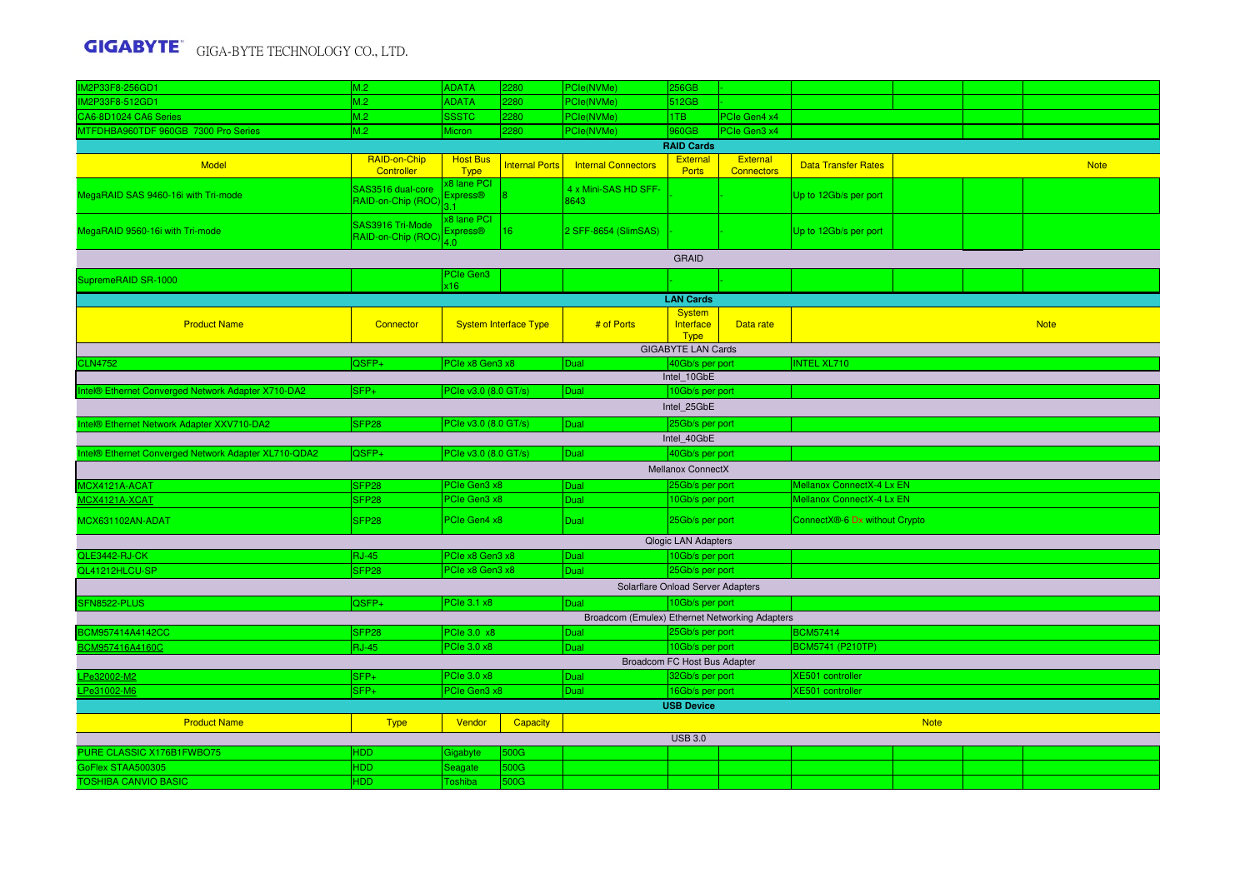| IM2P33F8-256GD1                                     | M.2                                                                  | <b>ADATA</b>                        | 2280                         | PCle(NVMe)                                     | <b>256GB</b>                      |                   |                               |             |  |             |  |  |
|-----------------------------------------------------|----------------------------------------------------------------------|-------------------------------------|------------------------------|------------------------------------------------|-----------------------------------|-------------------|-------------------------------|-------------|--|-------------|--|--|
| M2P33F8-512GD1                                      | M.2                                                                  | <b>ADATA</b>                        | 2280                         | PCle(NVMe)                                     | 512GB                             |                   |                               |             |  |             |  |  |
| CA6-8D1024 CA6 Series                               | M.2                                                                  | <b>SSSTC</b>                        | 2280                         | PCle(NVMe)                                     | 1TB                               | PCle Gen4 x4      |                               |             |  |             |  |  |
| MTFDHBA960TDF 960GB 7300 Pro Series                 | M.2                                                                  | <b>Micron</b>                       | 2280                         | PCle(NVMe)                                     | 960GB                             | PCle Gen3 x4      |                               |             |  |             |  |  |
|                                                     |                                                                      |                                     |                              |                                                | <b>RAID Cards</b>                 |                   |                               |             |  |             |  |  |
|                                                     | RAID-on-Chip                                                         | <b>Host Bus</b>                     |                              |                                                | <b>External</b>                   | <b>External</b>   |                               |             |  |             |  |  |
| Model                                               | Controller                                                           | <b>Type</b>                         | <b>Internal Ports</b>        | <b>Internal Connectors</b>                     | <b>Ports</b>                      | <b>Connectors</b> | <b>Data Transfer Rates</b>    |             |  | <b>Note</b> |  |  |
|                                                     |                                                                      | <b>8 lane PCI</b>                   |                              |                                                |                                   |                   |                               |             |  |             |  |  |
| MegaRAID SAS 9460-16i with Tri-mode                 | SAS3516 dual-core<br>RAID-on-Chip (ROC                               | Express <sup>®</sup>                |                              | 4 x Mini-SAS HD SFF-<br>8643                   |                                   |                   | Up to 12Gb/s per port         |             |  |             |  |  |
|                                                     |                                                                      |                                     |                              |                                                |                                   |                   |                               |             |  |             |  |  |
|                                                     | SAS3916 Tri-Mode                                                     | x8 lane PCI<br>Express <sup>®</sup> | $ 16\rangle$                 | 2 SFF-8654 (SlimSAS)                           |                                   |                   |                               |             |  |             |  |  |
| MegaRAID 9560-16i with Tri-mode                     | RAID-on-Chip (ROC                                                    | 4.0                                 |                              |                                                |                                   |                   | Up to 12Gb/s per port         |             |  |             |  |  |
|                                                     |                                                                      |                                     |                              |                                                | <b>GRAID</b>                      |                   |                               |             |  |             |  |  |
|                                                     |                                                                      | PCIe Gen3                           |                              |                                                |                                   |                   |                               |             |  |             |  |  |
| SupremeRAID SR-1000                                 |                                                                      | x16                                 |                              |                                                |                                   |                   |                               |             |  |             |  |  |
|                                                     |                                                                      |                                     |                              |                                                | <b>LAN Cards</b>                  |                   |                               |             |  |             |  |  |
|                                                     |                                                                      |                                     |                              |                                                | <b>System</b>                     |                   |                               |             |  |             |  |  |
| <b>Product Name</b>                                 | Connector                                                            |                                     | <b>System Interface Type</b> | # of Ports                                     | Interface                         | Data rate         |                               |             |  | <b>Note</b> |  |  |
|                                                     |                                                                      |                                     |                              |                                                | <b>Type</b>                       |                   |                               |             |  |             |  |  |
|                                                     |                                                                      |                                     |                              |                                                | <b>GIGABYTE LAN Cards</b>         |                   |                               |             |  |             |  |  |
| <b>CLN4752</b>                                      | $QSFP+$                                                              | PCIe x8 Gen3 x8                     |                              | Dual                                           | 40Gb/s per port                   |                   | <b>INTEL XL710</b>            |             |  |             |  |  |
| ntel® Ethernet Converged Network Adapter X710-DA2   | SFP+                                                                 | PCle v3.0 (8.0 GT/s)                |                              | Dual                                           | Intel_10GbE<br>10Gb/s per port    |                   |                               |             |  |             |  |  |
|                                                     |                                                                      |                                     |                              |                                                |                                   |                   |                               |             |  |             |  |  |
|                                                     |                                                                      |                                     |                              |                                                | Intel 25GbE                       |                   |                               |             |  |             |  |  |
| Intel® Ethernet Network Adapter XXV710-DA2          | SFP <sub>28</sub><br>25Gb/s per port<br>PCle v3.0 (8.0 GT/s)<br>Dual |                                     |                              |                                                |                                   |                   |                               |             |  |             |  |  |
| Intel_40GbE                                         |                                                                      |                                     |                              |                                                |                                   |                   |                               |             |  |             |  |  |
| ntel® Ethernet Converged Network Adapter XL710-QDA2 | QSFP+                                                                | PCle v3.0 (8.0 GT/s)                |                              | Dual                                           | 40Gb/s per port                   |                   |                               |             |  |             |  |  |
|                                                     |                                                                      |                                     |                              |                                                | <b>Mellanox ConnectX</b>          |                   |                               |             |  |             |  |  |
| <b>ACX4121A-ACAT</b>                                | SFP <sub>28</sub>                                                    | PCIe Gen3 x8                        |                              | Dual                                           | 25Gb/s per port                   |                   | Mellanox ConnectX-4 Lx EN     |             |  |             |  |  |
| ICX4121A-XCAT                                       | SFP <sub>28</sub>                                                    | PCIe Gen3 x8                        |                              | Dual                                           | 10Gb/s per port                   |                   | Mellanox ConnectX-4 Lx EN     |             |  |             |  |  |
| MCX631102AN-ADAT                                    | SFP <sub>28</sub>                                                    | PCIe Gen4 x8                        |                              | Dual                                           | 25Gb/s per port                   |                   | ConnectX®-6 Dx without Crypto |             |  |             |  |  |
|                                                     |                                                                      |                                     |                              |                                                |                                   |                   |                               |             |  |             |  |  |
|                                                     |                                                                      |                                     |                              |                                                | <b>Qlogic LAN Adapters</b>        |                   |                               |             |  |             |  |  |
| QLE3442-RJ-CK                                       | <b>RJ-45</b>                                                         | PCle x8 Gen3 x8                     |                              | Dual                                           | 10Gb/s per port                   |                   |                               |             |  |             |  |  |
| QL41212HLCU-SP                                      | SFP <sub>28</sub>                                                    | PCle x8 Gen3 x8                     |                              | Dual                                           | 25Gb/s per port                   |                   |                               |             |  |             |  |  |
|                                                     |                                                                      |                                     |                              |                                                | Solarflare Onload Server Adapters |                   |                               |             |  |             |  |  |
| SFN8522-PLUS                                        | QSFP+                                                                | PCle 3.1 x8                         |                              | Dual                                           | 10Gb/s per port                   |                   |                               |             |  |             |  |  |
|                                                     |                                                                      |                                     |                              | Broadcom (Emulex) Ethernet Networking Adapters |                                   |                   |                               |             |  |             |  |  |
| BCM957414A4142CC                                    | SFP <sub>28</sub>                                                    | PCIe 3.0 x8                         |                              | Dual                                           | 25Gb/s per port                   |                   | <b>BCM57414</b>               |             |  |             |  |  |
| CM957416A4160C                                      | $RJ-45$                                                              | PCle 3.0 x8                         |                              | Dual                                           | 10Gb/s per port                   |                   | <b>BCM5741 (P210TP)</b>       |             |  |             |  |  |
|                                                     |                                                                      |                                     |                              |                                                | Broadcom FC Host Bus Adapter      |                   |                               |             |  |             |  |  |
| Pe32002-M2                                          | SFP+                                                                 | PCle 3.0 x8                         |                              | Dual                                           | 32Gb/s per port                   |                   | XE501 controller              |             |  |             |  |  |
| Pe31002-M6                                          | $SFP+$                                                               | PCIe Gen3 x8                        |                              | Dual                                           | 16Gb/s per port                   |                   | XE501 controller              |             |  |             |  |  |
|                                                     |                                                                      |                                     |                              |                                                | <b>USB Device</b>                 |                   |                               |             |  |             |  |  |
| <b>Product Name</b>                                 | <b>Type</b>                                                          | Vendor                              | <b>Capacity</b>              |                                                |                                   |                   |                               | <b>Note</b> |  |             |  |  |
|                                                     |                                                                      |                                     |                              |                                                | <b>USB 3.0</b>                    |                   |                               |             |  |             |  |  |
|                                                     |                                                                      |                                     |                              |                                                |                                   |                   |                               |             |  |             |  |  |
| PURE CLASSIC X176B1FWBO75                           | HDD                                                                  | Gigabyte                            | 500G                         |                                                |                                   |                   |                               |             |  |             |  |  |
| GoFlex STAA500305                                   | HDD                                                                  | Seagate                             | 500G                         |                                                |                                   |                   |                               |             |  |             |  |  |
| <b>TOSHIBA CANVIO BASIC</b>                         | <b>HDD</b>                                                           | Toshiba                             | 500G                         |                                                |                                   |                   |                               |             |  |             |  |  |